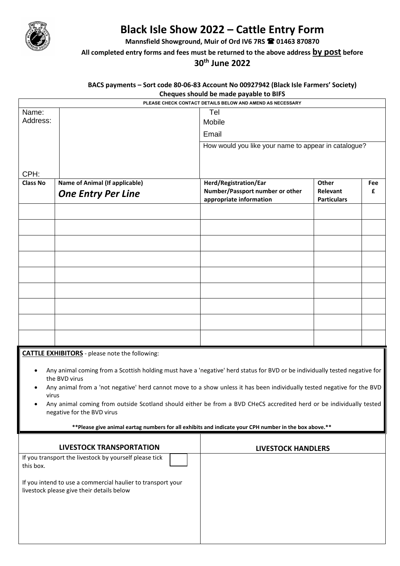

## **Black Isle Show 2022 – Cattle Entry Form**

**Mannsfield Showground, Muir of Ord IV6 7RS 01463 870870**

## **All completed entry forms and fees must be returned to the above address by post before**

**30th June 2022**

## **BACS payments – Sort code 80-06-83 Account No 00927942 (Black Isle Farmers' Society) Cheques should be made payable to BIFS**

|                                                                                                                                  | PLEASE CHECK CONTACT DETAILS BELOW AND AMEND AS NECESSARY                                                                                |                                                            |                                |     |  |  |  |
|----------------------------------------------------------------------------------------------------------------------------------|------------------------------------------------------------------------------------------------------------------------------------------|------------------------------------------------------------|--------------------------------|-----|--|--|--|
| Name:                                                                                                                            |                                                                                                                                          | Tel                                                        |                                |     |  |  |  |
| Address:                                                                                                                         |                                                                                                                                          | Mobile                                                     |                                |     |  |  |  |
|                                                                                                                                  |                                                                                                                                          | Email                                                      |                                |     |  |  |  |
|                                                                                                                                  |                                                                                                                                          | How would you like your name to appear in catalogue?       |                                |     |  |  |  |
|                                                                                                                                  |                                                                                                                                          |                                                            |                                |     |  |  |  |
| CPH:                                                                                                                             |                                                                                                                                          |                                                            |                                |     |  |  |  |
| <b>Class No</b>                                                                                                                  | <b>Name of Animal (If applicable)</b>                                                                                                    | Herd/Registration/Ear                                      | Other                          | Fee |  |  |  |
|                                                                                                                                  | <b>One Entry Per Line</b>                                                                                                                | Number/Passport number or other<br>appropriate information | Relevant<br><b>Particulars</b> | £   |  |  |  |
|                                                                                                                                  |                                                                                                                                          |                                                            |                                |     |  |  |  |
|                                                                                                                                  |                                                                                                                                          |                                                            |                                |     |  |  |  |
|                                                                                                                                  |                                                                                                                                          |                                                            |                                |     |  |  |  |
|                                                                                                                                  |                                                                                                                                          |                                                            |                                |     |  |  |  |
|                                                                                                                                  |                                                                                                                                          |                                                            |                                |     |  |  |  |
|                                                                                                                                  |                                                                                                                                          |                                                            |                                |     |  |  |  |
|                                                                                                                                  |                                                                                                                                          |                                                            |                                |     |  |  |  |
|                                                                                                                                  |                                                                                                                                          |                                                            |                                |     |  |  |  |
|                                                                                                                                  |                                                                                                                                          |                                                            |                                |     |  |  |  |
|                                                                                                                                  | <b>CATTLE EXHIBITORS</b> - please note the following:                                                                                    |                                                            |                                |     |  |  |  |
|                                                                                                                                  |                                                                                                                                          |                                                            |                                |     |  |  |  |
| Any animal coming from a Scottish holding must have a 'negative' herd status for BVD or be individually tested negative for<br>٠ |                                                                                                                                          |                                                            |                                |     |  |  |  |
|                                                                                                                                  | the BVD virus<br>Any animal from a 'not negative' herd cannot move to a show unless it has been individually tested negative for the BVD |                                                            |                                |     |  |  |  |
| virus                                                                                                                            |                                                                                                                                          |                                                            |                                |     |  |  |  |
| Any animal coming from outside Scotland should either be from a BVD CHeCS accredited herd or be individually tested              |                                                                                                                                          |                                                            |                                |     |  |  |  |

• Any animal coming from outside Scotland should either be from a BVD CHeCS accredited herd or be individually tested negative for the BVD virus

**\*\*Please give animal eartag numbers for all exhibits and indicate your CPH number in the box above.\*\***

| LIVESTOCK TRANSPORTATION                                                                                 | <b>LIVESTOCK HANDLERS</b> |
|----------------------------------------------------------------------------------------------------------|---------------------------|
| If you transport the livestock by yourself please tick<br>this box.                                      |                           |
| If you intend to use a commercial haulier to transport your<br>livestock please give their details below |                           |